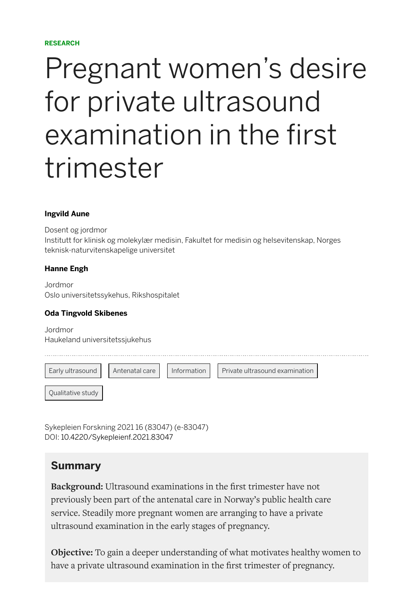#### **RESEARCH**

# Pregnant women's desire for private ultrasound examination in the first trimester

#### **[Ingvild Aune](https://sykepleien.no/profil/ingvild-aune)**

Dosent og jordmor Institutt for klinisk og molekylær medisin, Fakultet for medisin og helsevitenskap, Norges teknisk-naturvitenskapelige universitet

#### **[Hanne Engh](https://sykepleien.no/profil/hanne-engh)**

Jordmor Oslo universitetssykehus, Rikshospitalet

#### **[Oda Tingvold Skibenes](https://sykepleien.no/profil/oda-tingvold-skibenes)**

Jordmor Haukeland universitetssjukehus



Sykepleien Forskning 2021 16 (83047) (e-83047) DOI: [10.4220/Sykepleienf.2021.83047](https://doi.org/10.4220/Sykepleienf.2021.83047)

### **Summary**

**Background:** Ultrasound examinations in the first trimester have not previously been part of the antenatal care in Norway's public health care service. Steadily more pregnant women are arranging to have a private ultrasound examination in the early stages of pregnancy.

**Objective:** To gain a deeper understanding of what motivates healthy women to have a private ultrasound examination in the first trimester of pregnancy.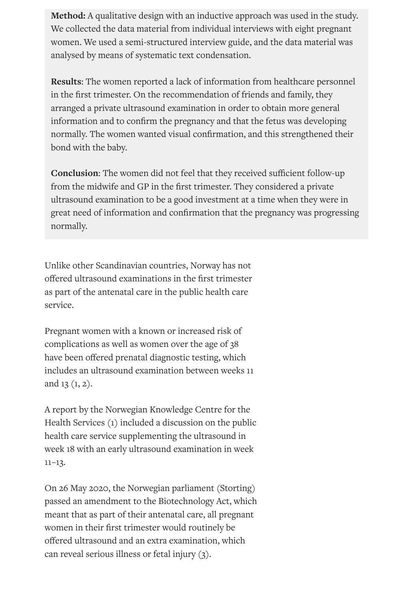**Method:** A qualitative design with an inductive approach was used in the study. We collected the data material from individual interviews with eight pregnant women. We used a semi-structured interview guide, and the data material was analysed by means of systematic text condensation.

**Results**: The women reported a lack of information from healthcare personnel in the first trimester. On the recommendation of friends and family, they arranged a private ultrasound examination in order to obtain more general information and to confirm the pregnancy and that the fetus was developing normally. The women wanted visual confirmation, and this strengthened their bond with the baby.

**Conclusion:** The women did not feel that they received sufficient follow-up from the midwife and GP in the first trimester. They considered a private ultrasound examination to be a good investment at a time when they were in great need of information and confirmation that the pregnancy was progressing normally.

Unlike other Scandinavian countries, Norway has not offered ultrasound examinations in the first trimester as part of the antenatal care in the public health care service.

Pregnant women with a known or increased risk of complications as well as women over the age of 38 have been offered prenatal diagnostic testing, which includes an ultrasound examination between weeks 11 and 13 (1, 2).

A report by the Norwegian Knowledge Centre for the Health Services (1) included a discussion on the public health care service supplementing the ultrasound in week 18 with an early ultrasound examination in week  $11-13.$ 

On 26 May 2020, the Norwegian parliament (Storting) passed an amendment to the Biotechnology Act, which meant that as part of their antenatal care, all pregnant women in their first trimester would routinely be offered ultrasound and an extra examination, which can reveal serious illness or fetal injury (3).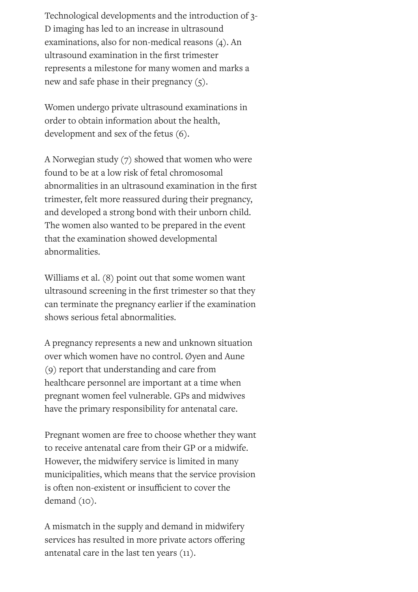Technological developments and the introduction of 3- D imaging has led to an increase in ultrasound examinations, also for non-medical reasons (4). An ultrasound examination in the first trimester represents a milestone for many women and marks a new and safe phase in their pregnancy  $(5)$ .

Women undergo private ultrasound examinations in order to obtain information about the health, development and sex of the fetus (6).

A Norwegian study (7) showed that women who were found to be at a low risk of fetal chromosomal abnormalities in an ultrasound examination in the first trimester, felt more reassured during their pregnancy, and developed a strong bond with their unborn child. The women also wanted to be prepared in the event that the examination showed developmental abnormalities.

Williams et al. (8) point out that some women want ultrasound screening in the first trimester so that they can terminate the pregnancy earlier if the examination shows serious fetal abnormalities.

A pregnancy represents a new and unknown situation over which women have no control. Øyen and Aune (9) report that understanding and care from healthcare personnel are important at a time when pregnant women feel vulnerable. GPs and midwives have the primary responsibility for antenatal care.

Pregnant women are free to choose whether they want to receive antenatal care from their GP or a midwife. However, the midwifery service is limited in many municipalities, which means that the service provision is often non-existent or insufficient to cover the demand (10).

A mismatch in the supply and demand in midwifery services has resulted in more private actors offering antenatal care in the last ten years (11).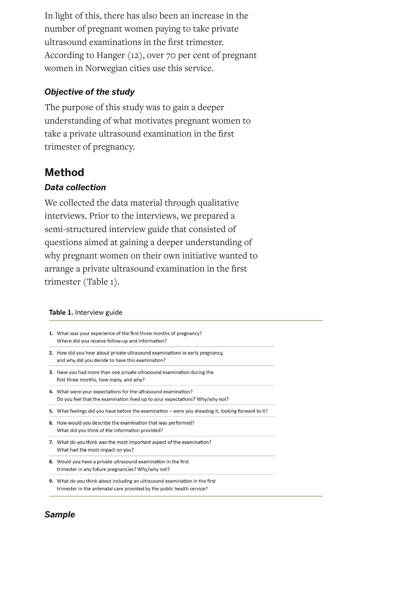In light of this, there has also been an increase in the number of pregnant women paying to take private ultrasound examinations in the first trimester. According to Hanger (12), over 70 per cent of pregnant women in Norwegian cities use this service.

### *Objective of the study*

The purpose of this study was to gain a deeper understanding of what motivates pregnant women to take a private ultrasound examination in the first trimester of pregnancy.

### **Method**

### *Data collection*

We collected the data material through qualitative interviews. Prior to the interviews, we prepared a semi-structured interview guide that consisted of questions aimed at gaining a deeper understanding of why pregnant women on their own initiative wanted to arrange a private ultrasound examination in the first trimester (Table 1).

#### Table 1. Interview guide

| 1. What was your experience of the first three months of pregnancy?<br>Where did you receive follow-up and information?                        |  |  |
|------------------------------------------------------------------------------------------------------------------------------------------------|--|--|
| 2. How did you hear about private ultrasound examinations in early pregnancy,<br>and why did you decide to have this examination?              |  |  |
| <b>3.</b> Have you had more than one private ultrasound examination during the<br>first three months, how many, and why?                       |  |  |
| 4. What were your expectations for the ultrasound examination?<br>Do you feel that the examination lived up to your expectations? Why/why not? |  |  |
| 5. What feelings did you have before the examination — were you dreading it, looking forward to it?                                            |  |  |
| 6. How would you describe the examination that was performed?<br>What did you think of the information provided?                               |  |  |
| 7. What do you think was the most important aspect of the examination?<br>What had the most impact on you?                                     |  |  |
| 8. Would you have a private ultrasound examination in the first<br>trimester in any future pregnancies? Why/why not?                           |  |  |

9. What do you think about including an ultrasound examination in the first trimester in the antenatal care provided by the public health service?

### *Sample*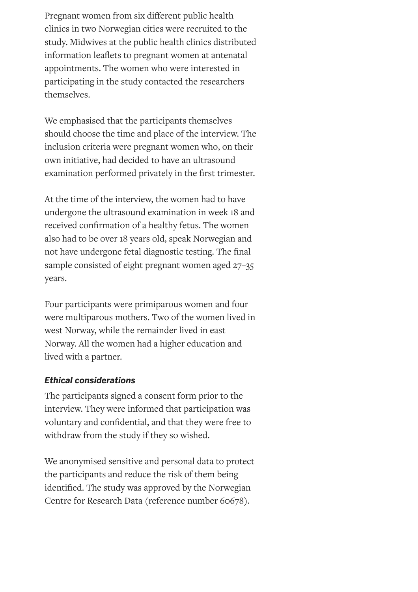Pregnant women from six different public health clinics in two Norwegian cities were recruited to the study. Midwives at the public health clinics distributed information leaflets to pregnant women at antenatal appointments. The women who were interested in participating in the study contacted the researchers themselves.

We emphasised that the participants themselves should choose the time and place of the interview. The inclusion criteria were pregnant women who, on their own initiative, had decided to have an ultrasound examination performed privately in the first trimester.

At the time of the interview, the women had to have undergone the ultrasound examination in week 18 and received confirmation of a healthy fetus. The women also had to be over 18 years old, speak Norwegian and not have undergone fetal diagnostic testing. The final sample consisted of eight pregnant women aged 27–35 years.

Four participants were primiparous women and four were multiparous mothers. Two of the women lived in west Norway, while the remainder lived in east Norway. All the women had a higher education and lived with a partner.

### *Ethical considerations*

The participants signed a consent form prior to the interview. They were informed that participation was voluntary and confidential, and that they were free to withdraw from the study if they so wished.

We anonymised sensitive and personal data to protect the participants and reduce the risk of them being identified. The study was approved by the Norwegian Centre for Research Data (reference number 60678).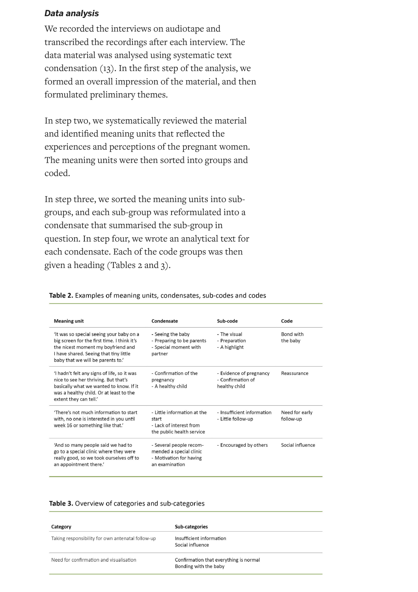#### *Data analysis*

We recorded the interviews on audiotape and transcribed the recordings after each interview. The data material was analysed using systematic text condensation  $(13)$ . In the first step of the analysis, we formed an overall impression of the material, and then formulated preliminary themes.

In step two, we systematically reviewed the material and identified meaning units that reflected the experiences and perceptions of the pregnant women. The meaning units were then sorted into groups and coded.

In step three, we sorted the meaning units into subgroups, and each sub-group was reformulated into a condensate that summarised the sub-group in question. In step four, we wrote an analytical text for each condensate. Each of the code groups was then given a heading (Tables 2 and 3).

| <b>Meaning unit</b>                                                                                                                                                                                          | Condensate                                                                                      | Sub-code                                                      | Code                         |
|--------------------------------------------------------------------------------------------------------------------------------------------------------------------------------------------------------------|-------------------------------------------------------------------------------------------------|---------------------------------------------------------------|------------------------------|
| 'It was so special seeing your baby on a<br>big screen for the first time. I think it's<br>the nicest moment my boyfriend and<br>I have shared. Seeing that tiny little<br>baby that we will be parents to.' | - Seeing the baby<br>- Preparing to be parents<br>- Special moment with<br>partner              | - The visual<br>- Preparation<br>- A highlight                | <b>Bond with</b><br>the baby |
| 'I hadn't felt any signs of life, so it was<br>nice to see her thriving. But that's<br>basically what we wanted to know. If it<br>was a healthy child. Or at least to the<br>extent they can tell.'          | - Confirmation of the<br>pregnancy<br>- A healthy child                                         | - Evidence of pregnancy<br>- Confirmation of<br>healthy child | Reassurance                  |
| 'There's not much information to start<br>with, no one is interested in you until<br>week 16 or something like that.'                                                                                        | - Little information at the<br>start<br>- Lack of interest from<br>the public health service    | - Insufficient information<br>- Little follow-up              | Need for early<br>follow-up  |
| 'And so many people said we had to<br>go to a special clinic where they were<br>really good, so we took ourselves off to<br>an appointment there.'                                                           | - Several people recom-<br>mended a special clinic<br>- Motivation for having<br>an examination | - Encouraged by others                                        | Social influence             |

Table 2. Examples of meaning units, condensates, sub-codes and codes

#### Table 3. Overview of categories and sub-categories

| Category                                          | Sub-categories                                                  |
|---------------------------------------------------|-----------------------------------------------------------------|
| Taking responsibility for own antenatal follow-up | Insufficient information<br>Social influence                    |
| Need for confirmation and visualisation           | Confirmation that everything is normal<br>Bonding with the baby |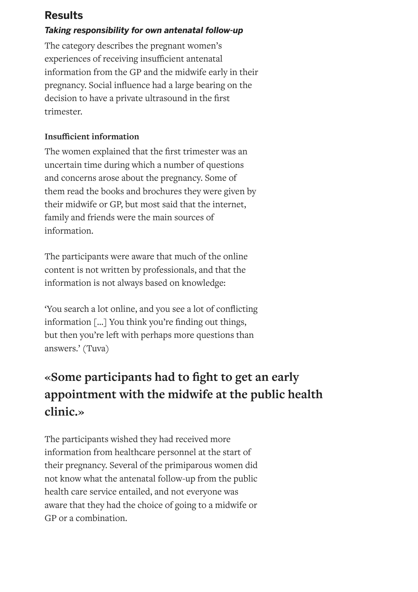### **Results**

### *Taking responsibility for own antenatal follow-up*

The category describes the pregnant women's experiences of receiving insufficient antenatal information from the GP and the midwife early in their pregnancy. Social influence had a large bearing on the decision to have a private ultrasound in the first trimester.

### **Insufficient information**

The women explained that the first trimester was an uncertain time during which a number of questions and concerns arose about the pregnancy. Some of them read the books and brochures they were given by their midwife or GP, but most said that the internet, family and friends were the main sources of information.

The participants were aware that much of the online content is not written by professionals, and that the information is not always based on knowledge:

'You search a lot online, and you see a lot of conflicting information [...] You think you're finding out things, but then you're left with perhaps more questions than answers.' (Tuva)

# **«Some participants had to ght to get an early appointment with the midwife at the public health clinic.»**

The participants wished they had received more information from healthcare personnel at the start of their pregnancy. Several of the primiparous women did not know what the antenatal follow-up from the public health care service entailed, and not everyone was aware that they had the choice of going to a midwife or GP or a combination.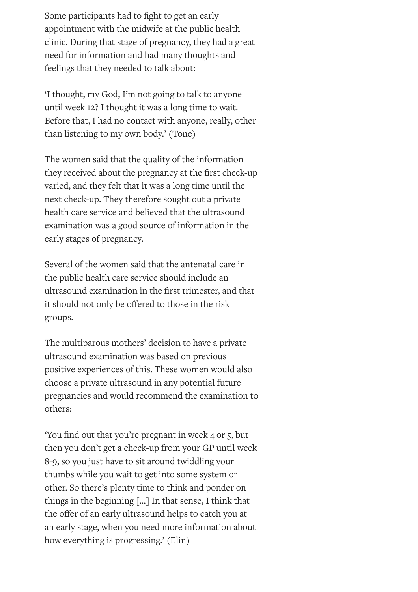Some participants had to fight to get an early appointment with the midwife at the public health clinic. During that stage of pregnancy, they had a great need for information and had many thoughts and feelings that they needed to talk about:

'I thought, my God, I'm not going to talk to anyone until week 12? I thought it was a long time to wait. Before that, I had no contact with anyone, really, other than listening to my own body.' (Tone)

The women said that the quality of the information they received about the pregnancy at the first check-up varied, and they felt that it was a long time until the next check-up. They therefore sought out a private health care service and believed that the ultrasound examination was a good source of information in the early stages of pregnancy.

Several of the women said that the antenatal care in the public health care service should include an ultrasound examination in the first trimester, and that it should not only be offered to those in the risk groups.

The multiparous mothers' decision to have a private ultrasound examination was based on previous positive experiences of this. These women would also choose a private ultrasound in any potential future pregnancies and would recommend the examination to others:

You find out that you're pregnant in week 4 or 5, but then you don't get a check-up from your GP until week 8-9, so you just have to sit around twiddling your thumbs while you wait to get into some system or other. So there's plenty time to think and ponder on things in the beginning […] In that sense, I think that the offer of an early ultrasound helps to catch you at an early stage, when you need more information about how everything is progressing.' (Elin)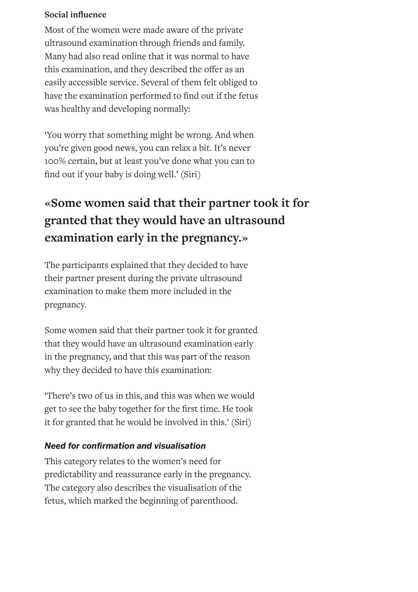### **Social influence**

Most of the women were made aware of the private ultrasound examination through friends and family. Many had also read online that it was normal to have this examination, and they described the offer as an easily accessible service. Several of them felt obliged to have the examination performed to find out if the fetus was healthy and developing normally:

'You worry that something might be wrong. And when you're given good news, you can relax a bit. It's never 100% certain, but at least you've done what you can to find out if your baby is doing well.' (Siri)

# **«Some women said that their partner took it for granted that they would have an ultrasound examination early in the pregnancy.»**

The participants explained that they decided to have their partner present during the private ultrasound examination to make them more included in the pregnancy.

Some women said that their partner took it for granted that they would have an ultrasound examination early in the pregnancy, and that this was part of the reason why they decided to have this examination:

'There's two of us in this, and this was when we would get to see the baby together for the first time. He took it for granted that he would be involved in this.' (Siri)

### *Need for conrmation and visualisation*

This category relates to the women's need for predictability and reassurance early in the pregnancy. The category also describes the visualisation of the fetus, which marked the beginning of parenthood.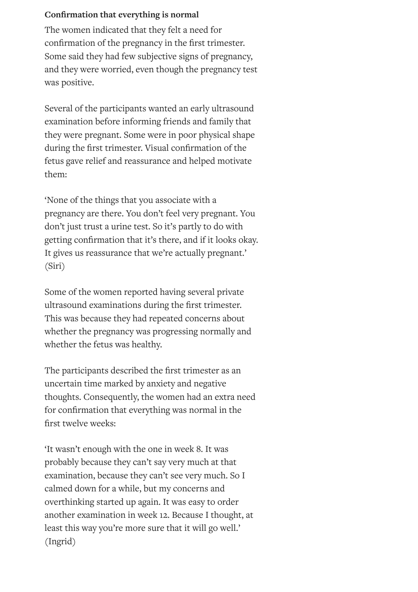### **Conrmation that everything is normal**

The women indicated that they felt a need for confirmation of the pregnancy in the first trimester. Some said they had few subjective signs of pregnancy, and they were worried, even though the pregnancy test was positive.

Several of the participants wanted an early ultrasound examination before informing friends and family that they were pregnant. Some were in poor physical shape during the first trimester. Visual confirmation of the fetus gave relief and reassurance and helped motivate them:

'None of the things that you associate with a pregnancy are there. You don't feel very pregnant. You don't just trust a urine test. So it's partly to do with getting confirmation that it's there, and if it looks okay. It gives us reassurance that we're actually pregnant.' (Siri)

Some of the women reported having several private ultrasound examinations during the first trimester. This was because they had repeated concerns about whether the pregnancy was progressing normally and whether the fetus was healthy.

The participants described the first trimester as an uncertain time marked by anxiety and negative thoughts. Consequently, the women had an extra need for confirmation that everything was normal in the first twelve weeks:

'It wasn't enough with the one in week 8. It was probably because they can't say very much at that examination, because they can't see very much. So I calmed down for a while, but my concerns and overthinking started up again. It was easy to order another examination in week 12. Because I thought, at least this way you're more sure that it will go well.' (Ingrid)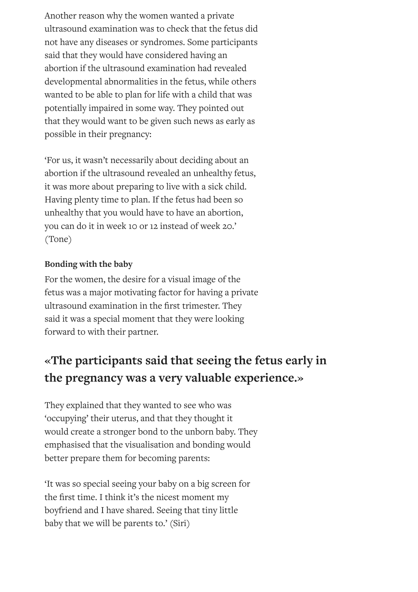Another reason why the women wanted a private ultrasound examination was to check that the fetus did not have any diseases or syndromes. Some participants said that they would have considered having an abortion if the ultrasound examination had revealed developmental abnormalities in the fetus, while others wanted to be able to plan for life with a child that was potentially impaired in some way. They pointed out that they would want to be given such news as early as possible in their pregnancy:

'For us, it wasn't necessarily about deciding about an abortion if the ultrasound revealed an unhealthy fetus, it was more about preparing to live with a sick child. Having plenty time to plan. If the fetus had been so unhealthy that you would have to have an abortion, you can do it in week 10 or 12 instead of week 20.' (Tone)

### **Bonding with the baby**

For the women, the desire for a visual image of the fetus was a major motivating factor for having a private ultrasound examination in the first trimester. They said it was a special moment that they were looking forward to with their partner.

# **«The participants said that seeing the fetus early in the pregnancy was a very valuable experience.»**

They explained that they wanted to see who was 'occupying' their uterus, and that they thought it would create a stronger bond to the unborn baby. They emphasised that the visualisation and bonding would better prepare them for becoming parents:

'It was so special seeing your baby on a big screen for the first time. I think it's the nicest moment my boyfriend and I have shared. Seeing that tiny little baby that we will be parents to.' (Siri)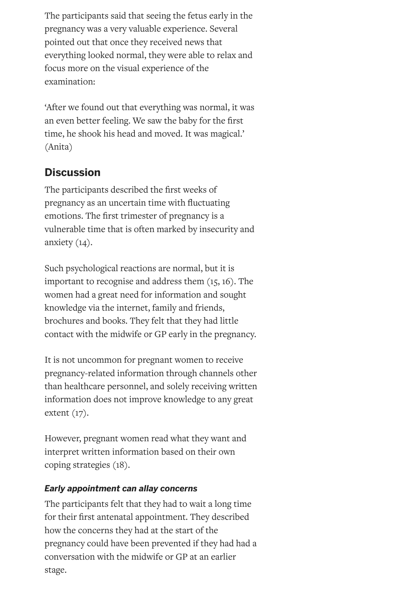The participants said that seeing the fetus early in the pregnancy was a very valuable experience. Several pointed out that once they received news that everything looked normal, they were able to relax and focus more on the visual experience of the examination:

'After we found out that everything was normal, it was an even better feeling. We saw the baby for the first time, he shook his head and moved. It was magical.' (Anita)

## **Discussion**

The participants described the first weeks of pregnancy as an uncertain time with fluctuating emotions. The first trimester of pregnancy is a vulnerable time that is often marked by insecurity and anxiety (14).

Such psychological reactions are normal, but it is important to recognise and address them (15, 16). The women had a great need for information and sought knowledge via the internet, family and friends, brochures and books. They felt that they had little contact with the midwife or GP early in the pregnancy.

It is not uncommon for pregnant women to receive pregnancy-related information through channels other than healthcare personnel, and solely receiving written information does not improve knowledge to any great extent (17).

However, pregnant women read what they want and interpret written information based on their own coping strategies (18).

### *Early appointment can allay concerns*

The participants felt that they had to wait a long time for their first antenatal appointment. They described how the concerns they had at the start of the pregnancy could have been prevented if they had had a conversation with the midwife or GP at an earlier stage.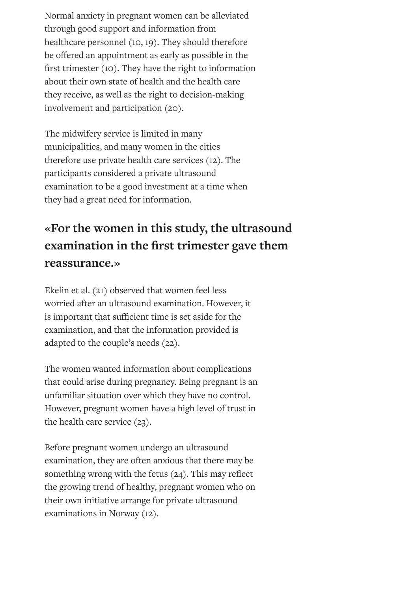Normal anxiety in pregnant women can be alleviated through good support and information from healthcare personnel (10, 19). They should therefore be offered an appointment as early as possible in the first trimester  $(10)$ . They have the right to information about their own state of health and the health care they receive, as well as the right to decision-making involvement and participation (20).

The midwifery service is limited in many municipalities, and many women in the cities therefore use private health care services (12). The participants considered a private ultrasound examination to be a good investment at a time when they had a great need for information.

# **«For the women in this study, the ultrasound examination** in the first trimester gave them **reassurance.»**

Ekelin et al. (21) observed that women feel less worried after an ultrasound examination. However, it is important that sufficient time is set aside for the examination, and that the information provided is adapted to the couple's needs (22).

The women wanted information about complications that could arise during pregnancy. Being pregnant is an unfamiliar situation over which they have no control. However, pregnant women have a high level of trust in the health care service (23).

Before pregnant women undergo an ultrasound examination, they are often anxious that there may be something wrong with the fetus  $(24)$ . This may reflect the growing trend of healthy, pregnant women who on their own initiative arrange for private ultrasound examinations in Norway (12).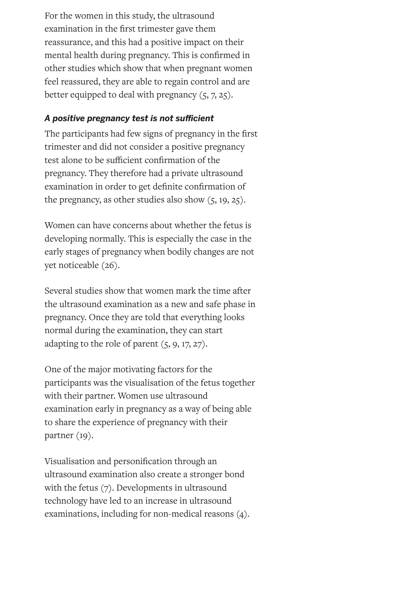For the women in this study, the ultrasound examination in the first trimester gave them reassurance, and this had a positive impact on their mental health during pregnancy. This is confirmed in other studies which show that when pregnant women feel reassured, they are able to regain control and are better equipped to deal with pregnancy  $(5, 7, 25)$ .

### A positive pregnancy test is not sufficient

The participants had few signs of pregnancy in the first trimester and did not consider a positive pregnancy test alone to be sufficient confirmation of the pregnancy. They therefore had a private ultrasound examination in order to get definite confirmation of the pregnancy, as other studies also show  $(5, 19, 25)$ .

Women can have concerns about whether the fetus is developing normally. This is especially the case in the early stages of pregnancy when bodily changes are not yet noticeable (26).

Several studies show that women mark the time after the ultrasound examination as a new and safe phase in pregnancy. Once they are told that everything looks normal during the examination, they can start adapting to the role of parent (5, 9, 17, 27).

One of the major motivating factors for the participants was the visualisation of the fetus together with their partner. Women use ultrasound examination early in pregnancy as a way of being able to share the experience of pregnancy with their partner (19).

Visualisation and personification through an ultrasound examination also create a stronger bond with the fetus (7). Developments in ultrasound technology have led to an increase in ultrasound examinations, including for non-medical reasons (4).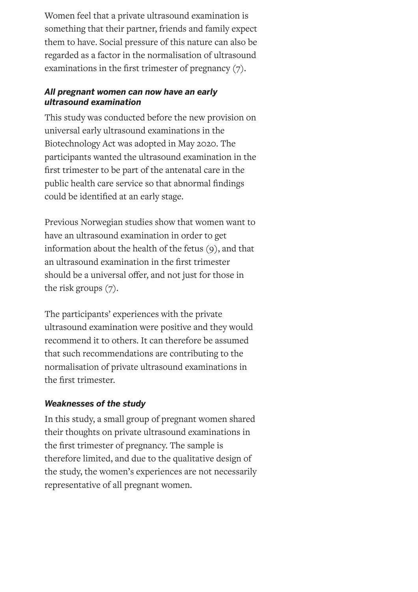Women feel that a private ultrasound examination is something that their partner, friends and family expect them to have. Social pressure of this nature can also be regarded as a factor in the normalisation of ultrasound examinations in the first trimester of pregnancy  $(7)$ .

#### *All pregnant women can now have an early ultrasound examination*

This study was conducted before the new provision on universal early ultrasound examinations in the Biotechnology Act was adopted in May 2020. The participants wanted the ultrasound examination in the first trimester to be part of the antenatal care in the public health care service so that abnormal findings could be identified at an early stage.

Previous Norwegian studies show that women want to have an ultrasound examination in order to get information about the health of the fetus (9), and that an ultrasound examination in the first trimester should be a universal offer, and not just for those in the risk groups (7).

The participants' experiences with the private ultrasound examination were positive and they would recommend it to others. It can therefore be assumed that such recommendations are contributing to the normalisation of private ultrasound examinations in the first trimester.

### *Weaknesses of the study*

In this study, a small group of pregnant women shared their thoughts on private ultrasound examinations in the first trimester of pregnancy. The sample is therefore limited, and due to the qualitative design of the study, the women's experiences are not necessarily representative of all pregnant women.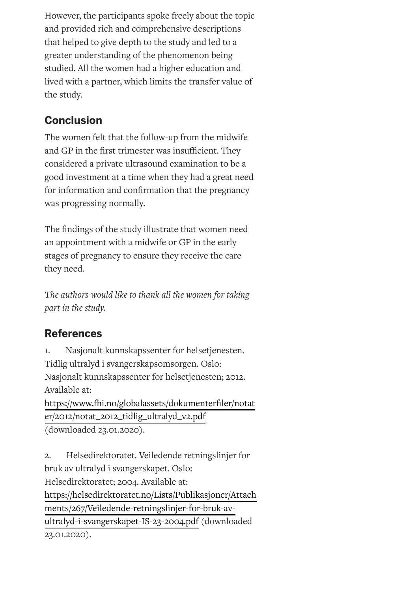However, the participants spoke freely about the topic and provided rich and comprehensive descriptions that helped to give depth to the study and led to a greater understanding of the phenomenon being studied. All the women had a higher education and lived with a partner, which limits the transfer value of the study.

# **Conclusion**

The women felt that the follow-up from the midwife and GP in the first trimester was insufficient. They considered a private ultrasound examination to be a good investment at a time when they had a great need for information and confirmation that the pregnancy was progressing normally.

The findings of the study illustrate that women need an appointment with a midwife or GP in the early stages of pregnancy to ensure they receive the care they need.

*The authors would like to thank all the women for taking part in the study.*

# **References**

1. Nasjonalt kunnskapssenter for helsetjenesten. Tidlig ultralyd i svangerskapsomsorgen. Oslo: Nasjonalt kunnskapssenter for helsetjenesten; 2012. Available at: https://www.fhi.no/globalassets/dokumenterfiler/notat er/2012/notat\_2012\_tidlig\_ultralyd\_v2.pdf (downloaded 23.01.2020).

2. Helsedirektoratet. Veiledende retningslinjer for bruk av ultralyd i svangerskapet*.* Oslo: Helsedirektoratet; 2004. Available at: [https://helsedirektoratet.no/Lists/Publikasjoner/Attach](https://helsedirektoratet.no/Lists/Publikasjoner/Attachments/267/Veiledende-retningslinjer-for-bruk-av-ultralyd-i-svangerskapet-IS-23-2004.pdf) ments/267/Veiledende-retningslinjer-for-bruk-avultralyd-i-svangerskapet-IS-23-2004.pdf (downloaded 23.01.2020).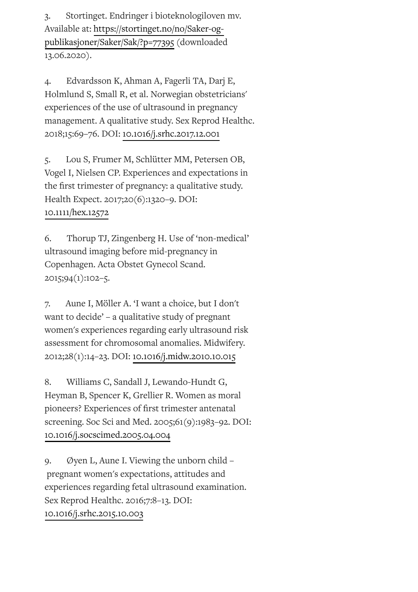3. Stortinget. Endringer i bioteknologiloven mv. Available at: [https://stortinget.no/no/Saker-og](https://stortinget.no/no/Saker-og-publikasjoner/Saker/Sak/?p=77395)publikasjoner/Saker/Sak/?p=77395 (downloaded 13.06.2020).

4. Edvardsson K, Ahman A, Fagerli TA, Darj E, Holmlund S, Small R, et al. Norwegian obstetricians' experiences of the use of ultrasound in pregnancy management. A qualitative study. Sex Reprod Healthc. 2018;15:69–76. DOI: [10.1016/j.srhc.2017.12.001](https://doi.org/10.1016/j.srhc.2017.12.001)

5. Lou S, Frumer M, Schlütter MM, Petersen OB, Vogel I, Nielsen CP. Experiences and expectations in the first trimester of pregnancy: a qualitative study. Health Expect. 2017;20(6):1320–9. DOI: [10.1111/hex.12572](https://doi.org/10.1111/hex.12572)

6. Thorup TJ, Zingenberg H. Use of 'non-medical' ultrasound imaging before mid-pregnancy in Copenhagen. Acta Obstet Gynecol Scand. 2015;94(1):102–5.

7. Aune I, Möller A. 'I want a choice, but I don't want to decide' – a qualitative study of pregnant women's experiences regarding early ultrasound risk assessment for chromosomal anomalies. Midwifery. 2012;28(1):14–23. DOI: [10.1016/j.midw.2010.10.015](https://doi.org/10.1016/j.midw.2010.10.015)

8. Williams C, Sandall J, Lewando-Hundt G, Heyman B, Spencer K, Grellier R. Women as moral pioneers? Experiences of first trimester antenatal screening. Soc Sci and Med. 2005;61(9):1983–92. DOI: [10.1016/j.socscimed.2005.04.004](https://doi.org/10.1016/j.socscimed.2005.04.004)

9. Øyen L, Aune I. Viewing the unborn child – pregnant women's expectations, attitudes and experiences regarding fetal ultrasound examination. Sex Reprod Healthc. 2016;7:8–13. DOI: [10.1016/j.srhc.2015.10.003](https://doi.org/10.1016/j.srhc.2015.10.003)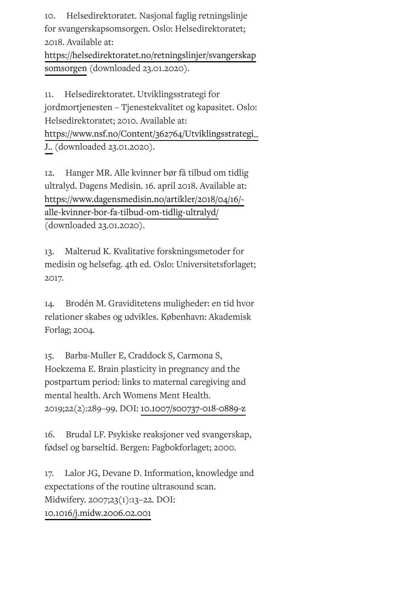10. Helsedirektoratet. Nasjonal faglig retningslinje for svangerskapsomsorgen. Oslo: Helsedirektoratet; 2018. Available at:

[https://helsedirektoratet.no/retningslinjer/svangerskap](https://helsedirektoratet.no/retningslinjer/svangerskapsomsorgen) somsorgen (downloaded 23.01.2020).

11. Helsedirektoratet. Utviklingsstrategi for jordmortjenesten – Tjenestekvalitet og kapasitet. Oslo: Helsedirektoratet; 2010. Available at: [https://www.nsf.no/Content/362764/Utviklingsstrategi\\_](https://www.nsf.no/Content/362764/Utviklingsstrategi_J..) J.. (downloaded 23.01.2020).

12. Hanger MR. Alle kvinner bør få tilbud om tidlig ultralyd. Dagens Medisin. 16. april 2018. Available at: [https://www.dagensmedisin.no/artikler/2018/04/16/](https://www.dagensmedisin.no/artikler/2018/04/16/-alle-kvinner-bor-fa-tilbud-om-tidlig-ultralyd/) alle-kvinner-bor-fa-tilbud-om-tidlig-ultralyd/ (downloaded 23.01.2020).

13. Malterud K. Kvalitative forskningsmetoder for medisin og helsefag. 4th ed. Oslo: Universitetsforlaget; 2017.

14. Brodén M. Graviditetens muligheder: en tid hvor relationer skabes og udvikles. København: Akademisk Forlag; 2004.

15. Barba-Muller E, Craddock S, Carmona S, Hoekzema E. Brain plasticity in pregnancy and the postpartum period: links to maternal caregiving and mental health. Arch Womens Ment Health. 2019;22(2):289–99. DOI: [10.1007/s00737-018-0889-z](https://doi.org/10.1007/s00737-018-0889-z)

16. Brudal LF. Psykiske reaksjoner ved svangerskap, fødsel og barseltid. Bergen: Fagbokforlaget; 2000.

17. Lalor JG, Devane D. Information, knowledge and expectations of the routine ultrasound scan. Midwifery. 2007;23(1):13–22. DOI: [10.1016/j.midw.2006.02.001](https://doi.org/10.1016/j.midw.2006.02.001)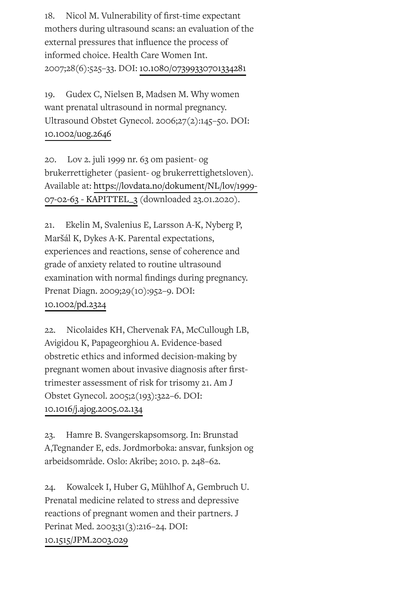18. Nicol M. Vulnerability of first-time expectant mothers during ultrasound scans: an evaluation of the external pressures that influence the process of informed choice. Health Care Women Int. 2007;28(6):525–33. DOI: [10.1080/07399330701334281](https://doi.org/10.1080/07399330701334281)

19. Gudex C, Nielsen B, Madsen M. Why women want prenatal ultrasound in normal pregnancy. Ultrasound Obstet Gynecol. 2006;27(2):145–50. DOI: [10.1002/uog.2646](https://doi.org/10.1002/uog.2646)

20. Lov 2. juli 1999 nr. 63 om pasient- og brukerrettigheter (pasient- og brukerrettighetsloven)*.* Available at: [https://lovdata.no/dokument/NL/lov/1999-](https://lovdata.no/dokument/NL/lov/1999-07-02-63#KAPITTEL_3) 07-02-63 - KAPITTEL\_3 (downloaded 23.01.2020).

21. Ekelin M, Svalenius E, Larsson A-K, Nyberg P, Maršál K, Dykes A-K. Parental expectations, experiences and reactions, sense of coherence and grade of anxiety related to routine ultrasound examination with normal findings during pregnancy. Prenat Diagn. 2009;29(10):952–9. DOI: [10.1002/pd.2324](https://doi.org/10.1002/pd.2324)

22. Nicolaides KH, Chervenak FA, McCullough LB, Avigidou K, Papageorghiou A. Evidence-based obstretic ethics and informed decision-making by pregnant women about invasive diagnosis after firsttrimester assessment of risk for trisomy 21. Am J Obstet Gynecol. 2005;2(193):322–6. DOI: [10.1016/j.ajog.2005.02.134](https://doi.org/10.1016/j.ajog.2005.02.134)

23. Hamre B. Svangerskapsomsorg. In: Brunstad A,Tegnander E, eds. Jordmorboka: ansvar, funksjon og arbeidsområde. Oslo: Akribe; 2010. p. 248–62.

24. Kowalcek I, Huber G, Mühlhof A, Gembruch U. Prenatal medicine related to stress and depressive reactions of pregnant women and their partners. J Perinat Med. 2003;31(3):216–24. DOI: [10.1515/JPM.2003.029](https://doi.org/10.1515/JPM.2003.029)